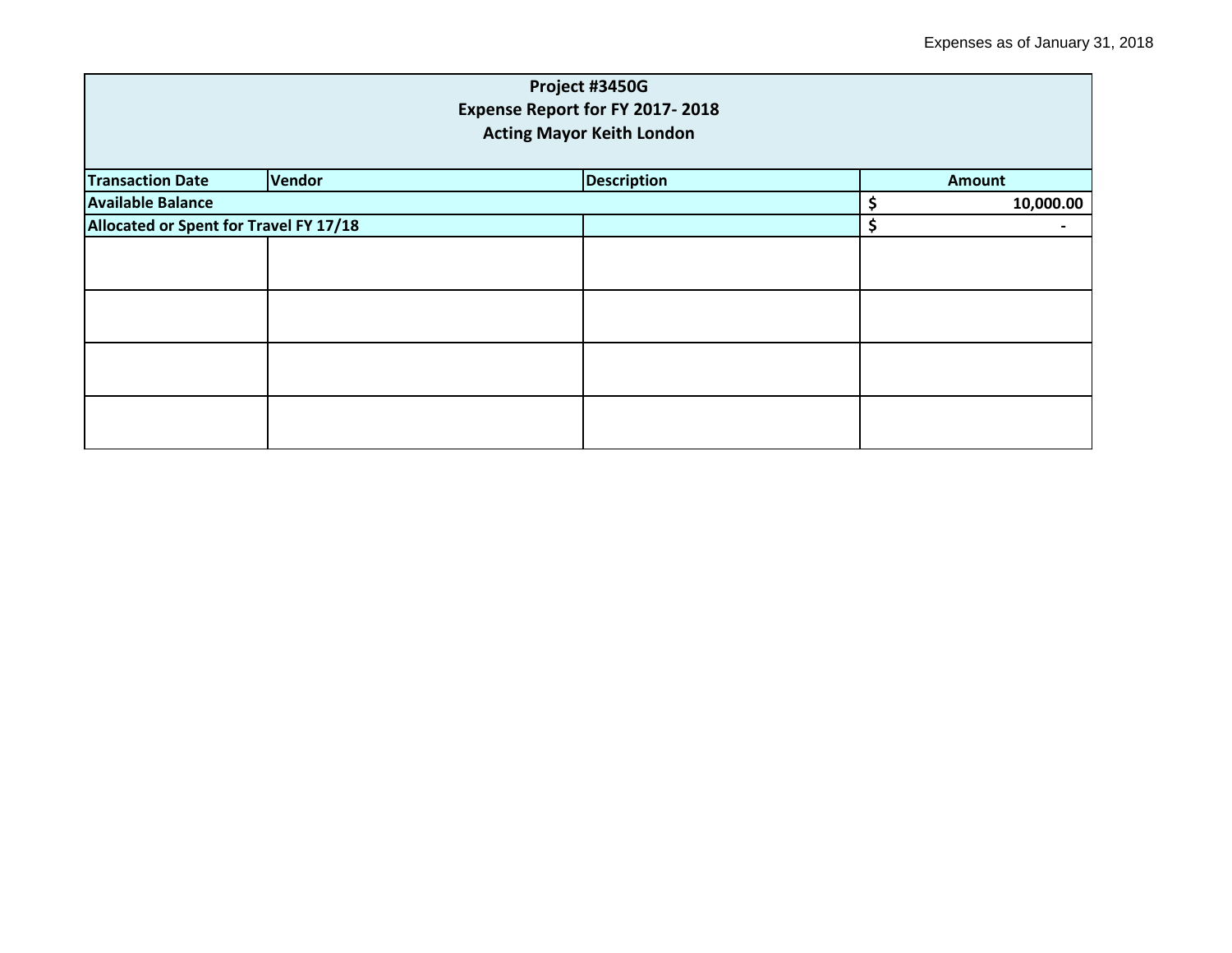|                                        |        | Project #3450G     |    |               |  |  |  |  |
|----------------------------------------|--------|--------------------|----|---------------|--|--|--|--|
| Expense Report for FY 2017-2018        |        |                    |    |               |  |  |  |  |
| <b>Acting Mayor Keith London</b>       |        |                    |    |               |  |  |  |  |
| <b>Transaction Date</b>                | Vendor | <b>Description</b> |    | <b>Amount</b> |  |  |  |  |
| <b>Available Balance</b>               |        |                    | \$ | 10,000.00     |  |  |  |  |
| Allocated or Spent for Travel FY 17/18 |        | \$                 |    |               |  |  |  |  |
|                                        |        |                    |    |               |  |  |  |  |
|                                        |        |                    |    |               |  |  |  |  |
|                                        |        |                    |    |               |  |  |  |  |
|                                        |        |                    |    |               |  |  |  |  |
|                                        |        |                    |    |               |  |  |  |  |
|                                        |        |                    |    |               |  |  |  |  |
|                                        |        |                    |    |               |  |  |  |  |
|                                        |        |                    |    |               |  |  |  |  |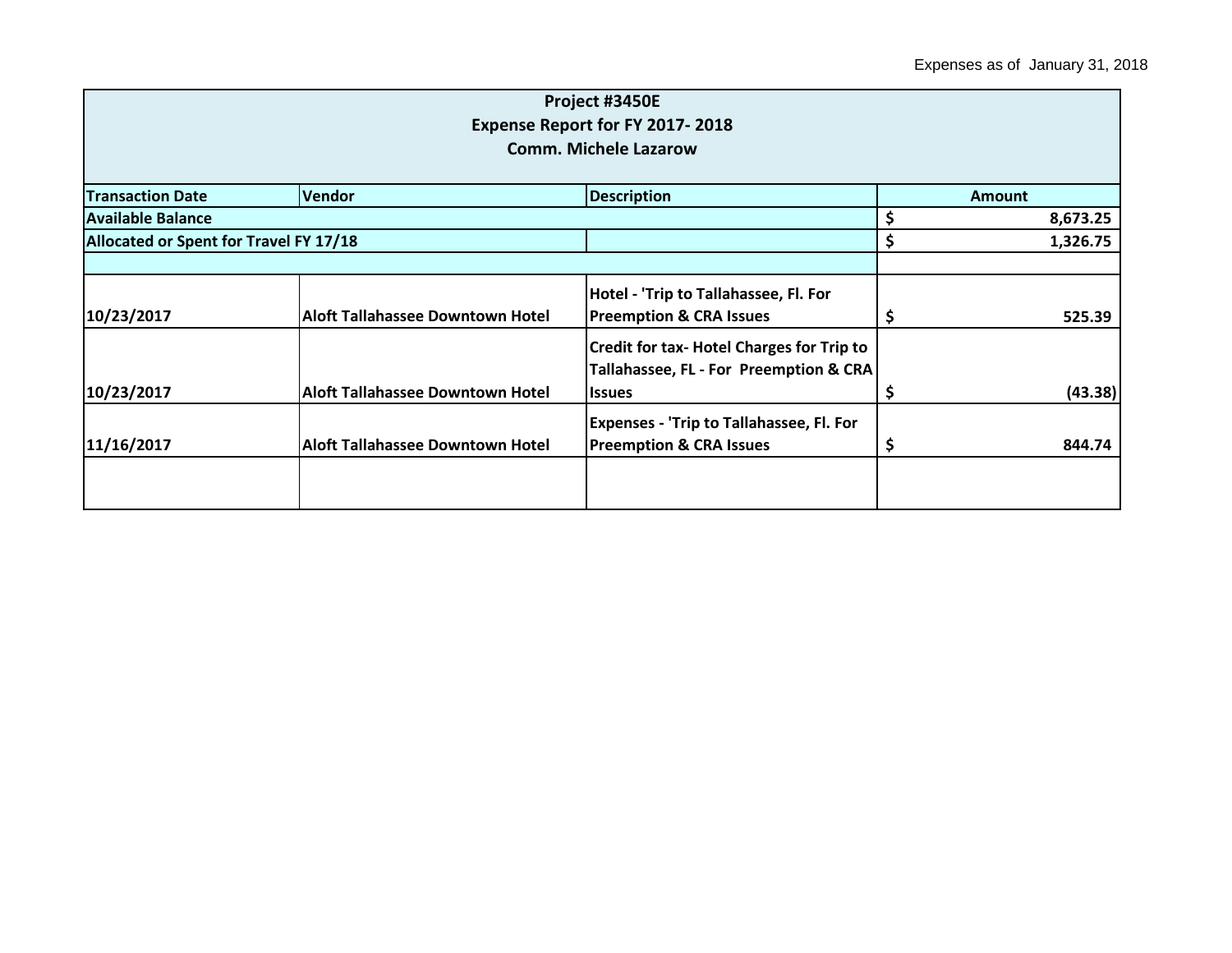|                                        |                                         | Project #3450E                                   |               |          |
|----------------------------------------|-----------------------------------------|--------------------------------------------------|---------------|----------|
|                                        |                                         | Expense Report for FY 2017-2018                  |               |          |
|                                        |                                         | <b>Comm. Michele Lazarow</b>                     |               |          |
|                                        |                                         |                                                  |               |          |
| <b>Transaction Date</b>                | <b>Vendor</b>                           | <b>Description</b>                               | <b>Amount</b> |          |
| Available Balance                      | \$                                      | 8,673.25                                         |               |          |
| Allocated or Spent for Travel FY 17/18 |                                         |                                                  | \$            | 1,326.75 |
|                                        |                                         |                                                  |               |          |
|                                        |                                         | Hotel - 'Trip to Tallahassee, Fl. For            |               |          |
| 10/23/2017                             | <b>Aloft Tallahassee Downtown Hotel</b> | <b>Preemption &amp; CRA Issues</b>               | Ş             | 525.39   |
|                                        |                                         | <b>Credit for tax- Hotel Charges for Trip to</b> |               |          |
|                                        |                                         | Tallahassee, FL - For Preemption & CRA           |               |          |
| 10/23/2017                             | <b>Aloft Tallahassee Downtown Hotel</b> | <b>Issues</b>                                    | \$            | (43.38)  |
|                                        |                                         | <b>Expenses - 'Trip to Tallahassee, Fl. For</b>  |               |          |
| 11/16/2017                             | <b>Aloft Tallahassee Downtown Hotel</b> | <b>Preemption &amp; CRA Issues</b>               | \$,           | 844.74   |
|                                        |                                         |                                                  |               |          |
|                                        |                                         |                                                  |               |          |